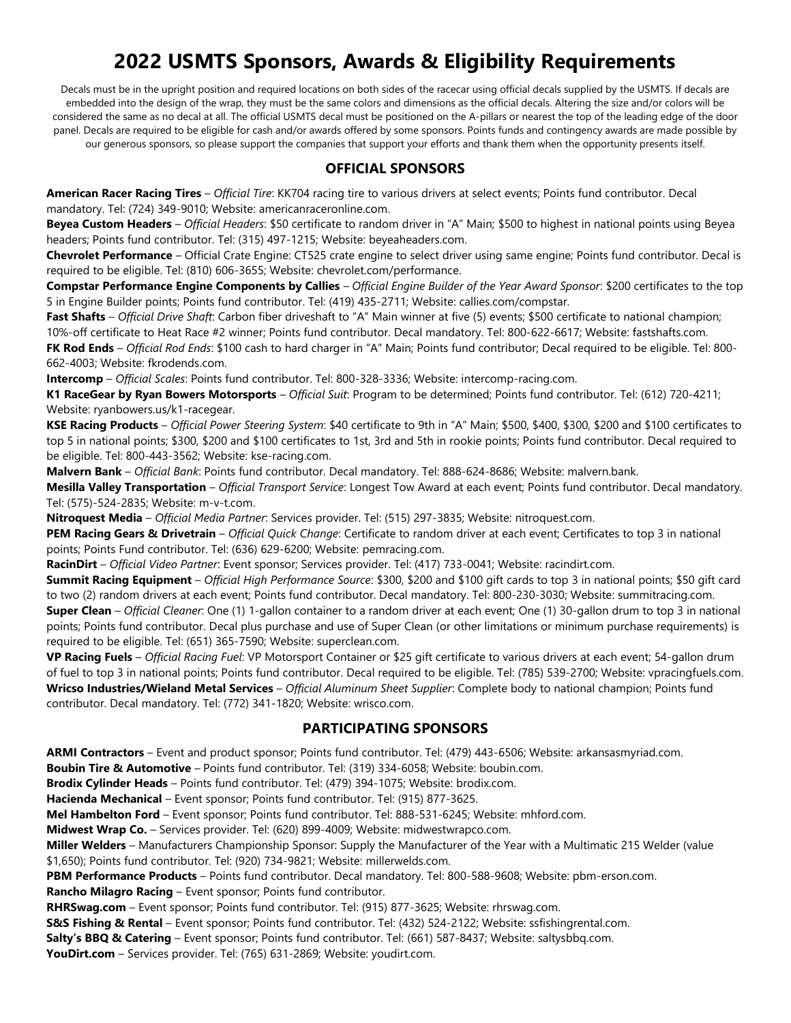# **2022 USMTS Sponsors, Awards & Eligibility Requirements**

Decals must be in the upright position and required locations on both sides of the racecar using official decals supplied by the USMTS. If decals are embedded into the design of the wrap, they must be the same colors and dimensions as the official decals. Altering the size and/or colors will be considered the same as no decal at all. The official USMTS decal must be positioned on the A-pillars or nearest the top of the leading edge of the door panel. Decals are required to be eligible for cash and/or awards offered by some sponsors. Points funds and contingency awards are made possible by our generous sponsors, so please support the companies that support your efforts and thank them when the opportunity presents itself.

#### **OFFICIAL SPONSORS**

**American Racer Racing Tires** – *Official Tire*: KK704 racing tire to various drivers at select events; Points fund contributor. Decal mandatory. Tel: (724) 349-9010; Website[: americanraceronline.com.](http://www.americanraceronline.com/)

**Beyea Custom Headers** – *Official Headers*: \$50 certificate to random driver in "A" Main; \$500 to highest in national points using Beyea headers; Points fund contributor. Tel: (315) 497-1215; Website[: beyeaheaders.com.](http://www.beyeaheaders.com/)

**Chevrolet Performance** – Official Crate Engine: CT525 crate engine to select driver using same engine; Points fund contributor. Decal is required to be eligible. Tel: (810) 606-3655; Website: [chevrolet.com/performance.](http://chevrolet.com/performance)

**Compstar Performance Engine Components by Callies** – *Official Engine Builder of the Year Award Sponsor*: \$200 certificates to the top 5 in Engine Builder points; Points fund contributor. Tel: (419) 435-2711; Website[: callies.com/compstar.](http://www.callies.com/compstar/)

**Fast Shafts** – *Official Drive Shaft*: Carbon fiber driveshaft to "A" Main winner at five (5) events; \$500 certificate to national champion; 10%-off certificate to Heat Race #2 winner; Points fund contributor. Decal mandatory. Tel: 800-622-6617; Website: [fastshafts.com.](http://www.fastshafts.com/)

**FK Rod Ends** – *Official Rod Ends*: \$100 cash to hard charger in "A" Main; Points fund contributor; Decal required to be eligible. Tel: 800- 662-4003; Website: [fkrodends.com.](http://www.fkrodends.com/)

**Intercomp** – *Official Scales*: Points fund contributor. Tel: 800-328-3336; Website: [intercomp-racing.com.](http://www.intercomp-racing.com/)

**K1 RaceGear by Ryan Bowers Motorsports** – *Official Suit*: Program to be determined; Points fund contributor. Tel: (612) 720-4211; Website: [ryanbowers.us/k1-racegear.](http://www.ryanbowers.us/k1-racegear)

**KSE Racing Products** – *Official Power Steering System*: \$40 certificate to 9th in "A" Main; \$500, \$400, \$300, \$200 and \$100 certificates to top 5 in national points; \$300, \$200 and \$100 certificates to 1st, 3rd and 5th in rookie points; Points fund contributor. Decal required to be eligible. Tel: 800-443-3562; Website: [kse-racing.com.](http://www.kse-racing.com/)

**Malvern Bank** – *Official Bank*: Points fund contributor. Decal mandatory. Tel: 888-624-8686; Website[: malvern.bank.](http://www.malvern.bank/)

**Mesilla Valley Transportation** – *Official Transport Service*: Longest Tow Award at each event; Points fund contributor. Decal mandatory. Tel: (575)-524-2835; Website: [m-v-t.com.](http://www.m-v-t.com/)

**Nitroquest Media** – *Official Media Partner*: Services provider. Tel: (515) 297-3835; Website: [nitroquest.com.](http://www.nitroquest.com/)

**PEM Racing Gears & Drivetrain** – *Official Quick Change*: Certificate to random driver at each event; Certificates to top 3 in national points; Points Fund contributor. Tel: (636) 629-6200; Website[: pemracing.com.](http://www.pemracing.com/)

**RacinDirt** – *Official Video Partner*: Event sponsor; Services provider. Tel: (417) 733-0041; Website: [racindirt.com.](http://www.racindirt.com/)

**Summit Racing Equipment** – *Official High Performance Source*: \$300, \$200 and \$100 gift cards to top 3 in national points; \$50 gift card to two (2) random drivers at each event; Points fund contributor. Decal mandatory. Tel: 800-230-3030; Website: [summitracing.com.](http://www.summitracing.com/) **Super Clean** – *Official Cleaner*: One (1) 1-gallon container to a random driver at each event; One (1) 30-gallon drum to top 3 in national points; Points fund contributor. Decal plus purchase and use of Super Clean (or other limitations or minimum purchase requirements) is required to be eligible. Tel: (651) 365-7590; Website: [superclean.com.](https://www.superclean.com/)

**VP Racing Fuels** – *Official Racing Fuel*: VP Motorsport Container or \$25 gift certificate to various drivers at each event; 54-gallon drum of fuel to top 3 in national points; Points fund contributor. Decal required to be eligible. Tel: (785) 539-2700; Website: [vpracingfuels.com.](http://www.vpracingfuels.com/) **Wricso Industries/Wieland Metal Services** – *Official Aluminum Sheet Supplier*: Complete body to national champion; Points fund contributor. Decal mandatory. Tel: (772) 341-1820; Website: [wrisco.com.](http://www.wrisco.com/)

### **PARTICIPATING SPONSORS**

**ARMI Contractors** – Event and product sponsor; Points fund contributor. Tel: (479) 443-6506; Website: [arkansasmyriad.com.](https://arkansasmyriad.com/)

**Boubin Tire & Automotive** – Points fund contributor. Tel: (319) 334-6058; Website: [boubin.com.](http://www.boubin.com/)

**Brodix Cylinder Heads** – Points fund contributor. Tel: (479) 394-1075; Website: [brodix.com.](http://www.brodix.com/)

**Hacienda Mechanical** – Event sponsor; Points fund contributor. Tel: (915) 877-3625.

**Mel Hambelton Ford** – Event sponsor; Points fund contributor. Tel: 888-531-6245; Website: [mhford.com.](https://mhford.com/)

**Midwest Wrap Co.** – Services provider. Tel: (620) 899-4009; Website: [midwestwrapco.com.](http://www.youdirt.com/)

**Miller Welders** – Manufacturers Championship Sponsor: Supply the Manufacturer of the Year with a Multimatic 215 Welder (value \$1,650); Points fund contributor. Tel: (920) 734-9821; Website: [millerwelds.com.](https://www.millerwelds.com/)

**PBM Performance Products** – Points fund contributor. Decal mandatory. Tel: 800-588-9608; Website: [pbm-erson.com.](http://www.pbm-erson.com/)

**Rancho Milagro Racing** – Event sponsor; Points fund contributor.

**RHRSwag.com** – Event sponsor; Points fund contributor. Tel: (915) 877-3625; Website: [rhrswag.com.](https://rhrswag.com/)

**S&S Fishing & Rental** – Event sponsor; Points fund contributor. Tel: (432) 524-2122; Website[: ssfishingrental.com.](http://ssfishingrental.com/)

**Salty's BBQ & Catering** – Event sponsor; Points fund contributor. Tel: (661) 587-8437; Website: [saltysbbq.com.](http://saltysbbq.com/)

**YouDirt.com** – Services provider. Tel: (765) 631-2869; Website: [youdirt.com.](http://www.youdirt.com/)